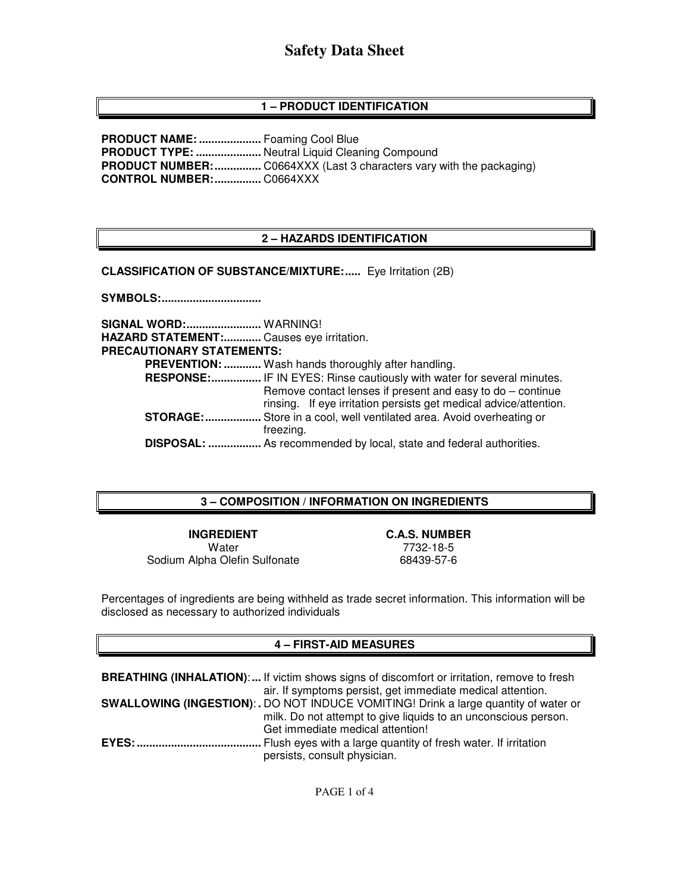# **1 – PRODUCT IDENTIFICATION**

**PRODUCT NAME: ....................** Foaming Cool Blue **PRODUCT TYPE: ......................** Neutral Liquid Cleaning Compound **PRODUCT NUMBER: ...............** C0664XXX (Last 3 characters vary with the packaging) **CONTROL NUMBER: ...............** C0664XXX

# **2 – HAZARDS IDENTIFICATION**

**CLASSIFICATION OF SUBSTANCE/MIXTURE:.....** Eye Irritation (2B)

**SYMBOLS: ................................** 

**SIGNAL WORD: ........................** WARNING! **HAZARD STATEMENT: ............** Causes eye irritation. **PRECAUTIONARY STATEMENTS: PREVENTION: ............** Wash hands thoroughly after handling.  **RESPONSE: ................** IF IN EYES: Rinse cautiously with water for several minutes. Remove contact lenses if present and easy to do – continue rinsing. If eye irritation persists get medical advice/attention. **STORAGE: ..................** Store in a cool, well ventilated area. Avoid overheating or freezing.  **DISPOSAL: .................** As recommended by local, state and federal authorities.

#### **3 – COMPOSITION / INFORMATION ON INGREDIENTS**

**INGREDIENT C.A.S. NUMBER**  Water 7732-18-5 Sodium Alpha Olefin Sulfonate 68439-57-6

Percentages of ingredients are being withheld as trade secret information. This information will be disclosed as necessary to authorized individuals

#### **4 – FIRST-AID MEASURES**

**BREATHING (INHALATION)**: **...** If victim shows signs of discomfort or irritation, remove to fresh air. If symptoms persist, get immediate medical attention. **SWALLOWING (INGESTION)**: **.** DO NOT INDUCE VOMITING! Drink a large quantity of water or milk. Do not attempt to give liquids to an unconscious person. Get immediate medical attention! **EYES: ........................................** Flush eyes with a large quantity of fresh water. If irritation persists, consult physician.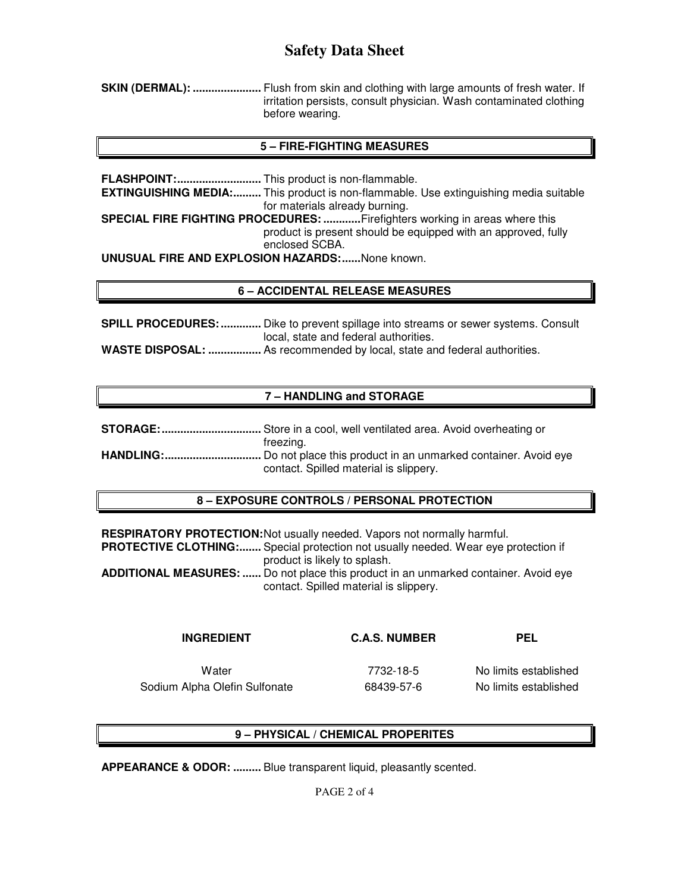**SKIN (DERMAL): ......................** Flush from skin and clothing with large amounts of fresh water. If irritation persists, consult physician. Wash contaminated clothing before wearing.

### **5 – FIRE-FIGHTING MEASURES**

**FLASHPOINT: ...........................** This product is non-flammable. **EXTINGUISHING MEDIA:.........** This product is non-flammable. Use extinguishing media suitable for materials already burning. **SPECIAL FIRE FIGHTING PROCEDURES: ............** Firefighters working in areas where this product is present should be equipped with an approved, fully enclosed SCBA. **UNUSUAL FIRE AND EXPLOSION HAZARDS: ......** None known.

## **6 – ACCIDENTAL RELEASE MEASURES**

**SPILL PROCEDURES: .............** Dike to prevent spillage into streams or sewer systems. Consult local, state and federal authorities.

**WASTE DISPOSAL: .................** As recommended by local, state and federal authorities.

## **7 – HANDLING and STORAGE**

| freezina.                                                                      |
|--------------------------------------------------------------------------------|
| <b>HANDLING:</b> Do not place this product in an unmarked container. Avoid eye |
| contact. Spilled material is slippery.                                         |

#### **8 – EXPOSURE CONTROLS / PERSONAL PROTECTION**

**RESPIRATORY PROTECTION: Not usually needed. Vapors not normally harmful. PROTECTIVE CLOTHING:.......** Special protection not usually needed. Wear eye protection if product is likely to splash. **ADDITIONAL MEASURES: ......** Do not place this product in an unmarked container. Avoid eye contact. Spilled material is slippery.

#### **INGREDIENT C.A.S. NUMBER PEL**

Water 7732-18-5 No limits established Sodium Alpha Olefin Sulfonate **68439-57-6** No limits established

# **9 – PHYSICAL / CHEMICAL PROPERITES**

**APPEARANCE & ODOR: .........** Blue transparent liquid, pleasantly scented.

PAGE 2 of 4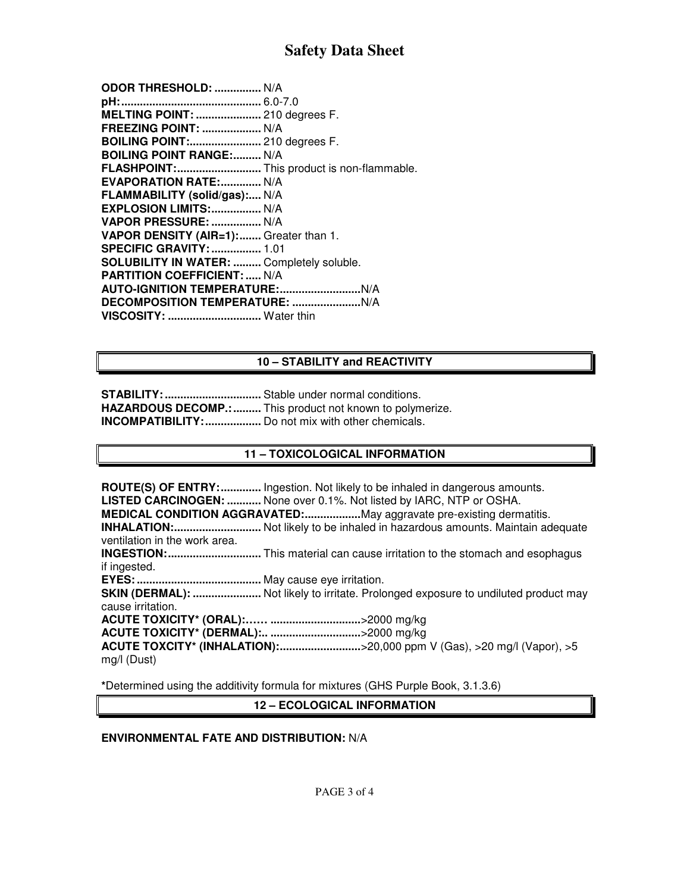| ODOR THRESHOLD:  N/A                       |  |
|--------------------------------------------|--|
|                                            |  |
| <b>MELTING POINT:  210 degrees F.</b>      |  |
| FREEZING POINT:  N/A                       |  |
| <b>BOILING POINT: 210 degrees F.</b>       |  |
| <b>BOILING POINT RANGE: N/A</b>            |  |
| FLASHPOINT: This product is non-flammable. |  |
| <b>EVAPORATION RATE: N/A</b>               |  |
| FLAMMABILITY (solid/gas): N/A              |  |
| EXPLOSION LIMITS:  N/A                     |  |
| VAPOR PRESSURE:  N/A                       |  |
| VAPOR DENSITY (AIR=1): Greater than 1.     |  |
| <b>SPECIFIC GRAVITY:  1.01</b>             |  |
| SOLUBILITY IN WATER:  Completely soluble.  |  |
| <b>PARTITION COEFFICIENT:  N/A</b>         |  |
|                                            |  |
|                                            |  |
| VISCOSITY:  Water thin                     |  |
|                                            |  |

## **10 – STABILITY and REACTIVITY**

**STABILITY: ...............................** Stable under normal conditions. **HAZARDOUS DECOMP.: .........** This product not known to polymerize. **INCOMPATIBILITY: ..................** Do not mix with other chemicals.

#### **11 – TOXICOLOGICAL INFORMATION**

**ROUTE(S) OF ENTRY: .............** Ingestion. Not likely to be inhaled in dangerous amounts. **LISTED CARCINOGEN: ...........** None over 0.1%. Not listed by IARC, NTP or OSHA. **MEDICAL CONDITION AGGRAVATED: ..................** May aggravate pre-existing dermatitis. **INHALATION: ............................** Not likely to be inhaled in hazardous amounts. Maintain adequate ventilation in the work area. **INGESTION: ..............................** This material can cause irritation to the stomach and esophagus if ingested. **EYES: ........................................** May cause eye irritation. **SKIN (DERMAL): ......................** Not likely to irritate. Prolonged exposure to undiluted product may cause irritation. **ACUTE TOXICITY\* (ORAL):…… .............................** >2000 mg/kg **ACUTE TOXICITY\* (DERMAL):.. .............................** >2000 mg/kg **ACUTE TOXCITY\* (INHALATION): ..........................** >20,000 ppm V (Gas), >20 mg/l (Vapor), >5 mg/l (Dust)

**\***Determined using the additivity formula for mixtures (GHS Purple Book, 3.1.3.6)

**12 – ECOLOGICAL INFORMATION** 

### **ENVIRONMENTAL FATE AND DISTRIBUTION:** N/A